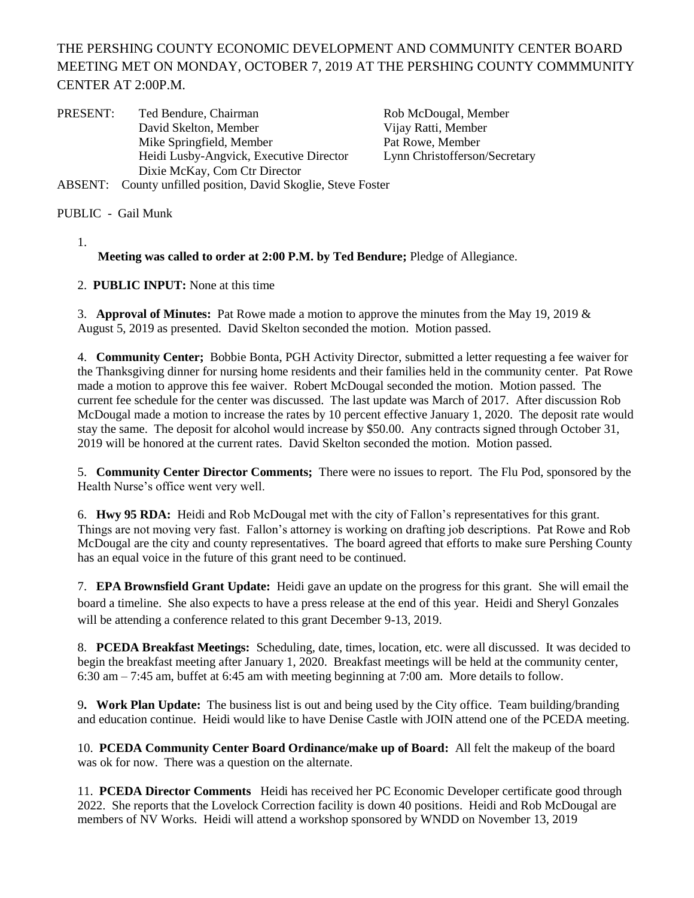THE PERSHING COUNTY ECONOMIC DEVELOPMENT AND COMMUNITY CENTER BOARD MEETING MET ON MONDAY, OCTOBER 7, 2019 AT THE PERSHING COUNTY COMMMUNITY CENTER AT 2:00P.M.

| PRESENT: | Ted Bendure, Chairman                                 | Rob McDougal, Member          |
|----------|-------------------------------------------------------|-------------------------------|
|          | David Skelton, Member                                 | Vijay Ratti, Member           |
|          | Mike Springfield, Member                              | Pat Rowe, Member              |
|          | Heidi Lusby-Angvick, Executive Director               | Lynn Christofferson/Secretary |
|          | Dixie McKay, Com Ctr Director                         |                               |
| ABSENT:  | County unfilled position, David Skoglie, Steve Foster |                               |

PUBLIC - Gail Munk

1.

**Meeting was called to order at 2:00 P.M. by Ted Bendure;** Pledge of Allegiance.

2. **PUBLIC INPUT:** None at this time

3. **Approval of Minutes:** Pat Rowe made a motion to approve the minutes from the May 19, 2019 & August 5, 2019 as presented. David Skelton seconded the motion. Motion passed.

4. **Community Center;** Bobbie Bonta, PGH Activity Director, submitted a letter requesting a fee waiver for the Thanksgiving dinner for nursing home residents and their families held in the community center. Pat Rowe made a motion to approve this fee waiver. Robert McDougal seconded the motion. Motion passed. The current fee schedule for the center was discussed. The last update was March of 2017. After discussion Rob McDougal made a motion to increase the rates by 10 percent effective January 1, 2020. The deposit rate would stay the same. The deposit for alcohol would increase by \$50.00. Any contracts signed through October 31, 2019 will be honored at the current rates. David Skelton seconded the motion. Motion passed.

5. **Community Center Director Comments;** There were no issues to report. The Flu Pod, sponsored by the Health Nurse's office went very well.

6. **Hwy 95 RDA:** Heidi and Rob McDougal met with the city of Fallon's representatives for this grant. Things are not moving very fast. Fallon's attorney is working on drafting job descriptions. Pat Rowe and Rob McDougal are the city and county representatives. The board agreed that efforts to make sure Pershing County has an equal voice in the future of this grant need to be continued.

7. **EPA Brownsfield Grant Update:** Heidi gave an update on the progress for this grant. She will email the board a timeline. She also expects to have a press release at the end of this year. Heidi and Sheryl Gonzales will be attending a conference related to this grant December 9-13, 2019.

8. **PCEDA Breakfast Meetings:** Scheduling, date, times, location, etc. were all discussed. It was decided to begin the breakfast meeting after January 1, 2020. Breakfast meetings will be held at the community center, 6:30 am – 7:45 am, buffet at 6:45 am with meeting beginning at 7:00 am. More details to follow.

9**. Work Plan Update:** The business list is out and being used by the City office. Team building/branding and education continue. Heidi would like to have Denise Castle with JOIN attend one of the PCEDA meeting.

10. **PCEDA Community Center Board Ordinance/make up of Board:** All felt the makeup of the board was ok for now. There was a question on the alternate.

11. **PCEDA Director Comments** Heidi has received her PC Economic Developer certificate good through 2022. She reports that the Lovelock Correction facility is down 40 positions. Heidi and Rob McDougal are members of NV Works. Heidi will attend a workshop sponsored by WNDD on November 13, 2019